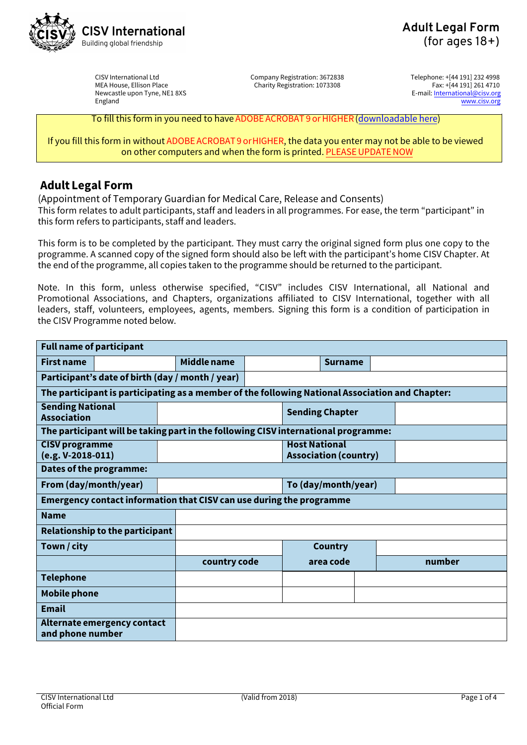

CISV International Ltd MEA House, Ellison Place Newcastle upon Tyne, NE1 8XS England

Company Registration: 3672838 Charity Registration: 1073308

Telephone: +[44 191] 232 4998 Fax: +[44 191] 261 4710 E-mail: International@cisv.org [www.cisv.org](http://www.cisv.org/)

To fill this form in you need to have ADOBE ACROBAT 9 or HIGHER[\(downloadable](http://get.adobe.com/uk/reader/) here)

If you fill this form in without ADOBE ACROBAT9 orHIGHER, the data you enter may not be able to be viewed on other computers and when the form is printed. [PLEASE UPDATE NOW](http://get.adobe.com/uk/reader/)

# **Adult Legal Form**

(Appointment of Temporary Guardian for Medical Care, Release and Consents) This form relates to adult participants, staff and leaders in all programmes. For ease, the term "participant" in this form refers to participants, staff and leaders.

This form is to be completed by the participant. They must carry the original signed form plus one copy to the programme. A scanned copy of the signed form should also be left with the participant's home CISV Chapter. At the end of the programme, all copies taken to the programme should be returned to the participant.

Note. In this form, unless otherwise specified, "CISV" includes CISV International, all National and Promotional Associations, and Chapters, organizations affiliated to CISV International, together with all leaders, staff, volunteers, employees, agents, members. Signing this form is a condition of participation in the CISV Programme noted below.

| <b>Full name of participant</b>                                                                 |  |  |                    |  |                                                      |                |  |        |
|-------------------------------------------------------------------------------------------------|--|--|--------------------|--|------------------------------------------------------|----------------|--|--------|
| <b>First name</b>                                                                               |  |  | <b>Middle name</b> |  |                                                      | <b>Surname</b> |  |        |
| Participant's date of birth (day / month / year)                                                |  |  |                    |  |                                                      |                |  |        |
| The participant is participating as a member of the following National Association and Chapter: |  |  |                    |  |                                                      |                |  |        |
| <b>Sending National</b><br><b>Association</b>                                                   |  |  |                    |  | <b>Sending Chapter</b>                               |                |  |        |
| The participant will be taking part in the following CISV international programme:              |  |  |                    |  |                                                      |                |  |        |
| <b>CISV programme</b><br>$(e.g. V-2018-011)$                                                    |  |  |                    |  | <b>Host National</b><br><b>Association (country)</b> |                |  |        |
| Dates of the programme:                                                                         |  |  |                    |  |                                                      |                |  |        |
| From (day/month/year)                                                                           |  |  |                    |  | To (day/month/year)                                  |                |  |        |
| Emergency contact information that CISV can use during the programme                            |  |  |                    |  |                                                      |                |  |        |
| <b>Name</b>                                                                                     |  |  |                    |  |                                                      |                |  |        |
| <b>Relationship to the participant</b>                                                          |  |  |                    |  |                                                      |                |  |        |
| Town / city                                                                                     |  |  |                    |  |                                                      | <b>Country</b> |  |        |
|                                                                                                 |  |  | country code       |  |                                                      | area code      |  | number |
| <b>Telephone</b>                                                                                |  |  |                    |  |                                                      |                |  |        |
| <b>Mobile phone</b>                                                                             |  |  |                    |  |                                                      |                |  |        |
| <b>Email</b>                                                                                    |  |  |                    |  |                                                      |                |  |        |
| Alternate emergency contact<br>and phone number                                                 |  |  |                    |  |                                                      |                |  |        |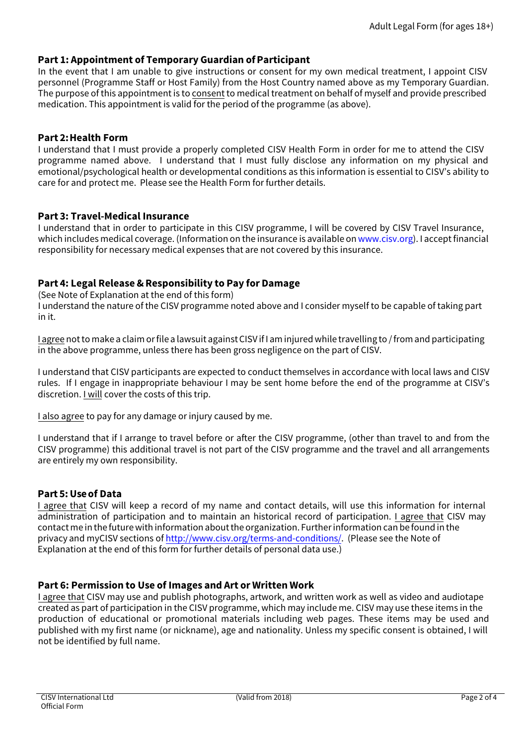# **Part 1: Appointment of Temporary Guardian of Participant**

In the event that I am unable to give instructions or consent for my own medical treatment, I appoint CISV personnel (Programme Staff or Host Family) from the Host Country named above as my Temporary Guardian. The purpose of this appointment is to consent to medical treatment on behalf of myself and provide prescribed medication. This appointment is valid for the period of the programme (as above).

# **Part 2: Health Form**

I understand that I must provide a properly completed CISV Health Form in order for me to attend the CISV programme named above. I understand that I must fully disclose any information on my physical and emotional/psychological health or developmental conditions as this information is essential to CISV's ability to care for and protect me. Please see the Health Form for further details.

## **Part 3: Travel-Medical Insurance**

I understand that in order to participate in this CISV programme, I will be covered by CISV Travel Insurance, which includes medical coverage. (Information on the insurance is available on [www.cisv.org\)](http://www.cisv.org/). I accept financial responsibility for necessary medical expenses that are not covered by this insurance.

# **Part 4: Legal Release & Responsibility to Pay for Damage**

(See Note of Explanation at the end of this form)

I understand the nature of the CISV programme noted above and I consider myself to be capable of taking part in it.

I agree not to make a claim or file a lawsuit against CISV if I am injured while travelling to / from and participating in the above programme, unless there has been gross negligence on the part of CISV.

I understand that CISV participants are expected to conduct themselves in accordance with local laws and CISV rules. If I engage in inappropriate behaviour I may be sent home before the end of the programme at CISV's discretion. I will cover the costs of this trip.

I also agree to pay for any damage or injury caused by me.

I understand that if I arrange to travel before or after the CISV programme, (other than travel to and from the CISV programme) this additional travel is not part of the CISV programme and the travel and all arrangements are entirely my own responsibility.

### **Part 5: Use of Data**

I agree that CISV will keep a record of my name and contact details, will use this information for internal administration of participation and to maintain an historical record of participation. I agree that CISV may contact me in the future with information aboutthe organization. Further information can be found in the privacy and myCISV sections of [http://www.cisv.org/terms-and-condi](http://www.cisv.org/terms-and-conditions/)tions/. (Please see the Note of Explanation at the end of this form for further details of personal data use.)

### **Part 6: Permission to Use of Images and Art or Written Work**

I agree that CISV may use and publish photographs, artwork, and written work as well as video and audiotape created as part of participation in the CISV programme, which may include me. CISV may use these items in the production of educational or promotional materials including web pages. These items may be used and published with my first name (or nickname), age and nationality. Unless my specific consent is obtained, I will not be identified by full name.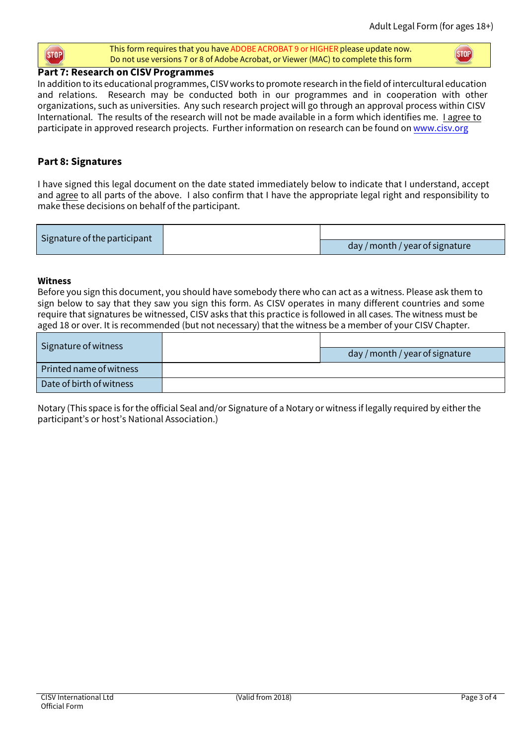#### This form requires that you have ADOBE ACROBAT 9 or HIGHER please update now. STOP<sup></sup> Do not use versions 7 or 8 of Adobe Acrobat, or Viewer (MAC) to complete this form

STOP<sup></sup>

# **Part 7: Research on CISV Programmes**

In addition to its educational programmes, CISV works to promote research in the field of intercultural education and relations. Research may be conducted both in our programmes and in cooperation with other organizations, such as universities. Any such research project will go through an approval process within CISV International. The results of the research will not be made available in a form which identifies me. I agree to participate in approved research projects. Further information on research can be found on [www.cisv.org](http://www.cisv.org/)

# **Part 8: Signatures**

I have signed this legal document on the date stated immediately below to indicate that I understand, accept and agree to all parts of the above. I also confirm that I have the appropriate legal right and responsibility to make these decisions on behalf of the participant.

| Signature of the participant |                                 |
|------------------------------|---------------------------------|
|                              | day / month / year of signature |

## **Witness**

Before you sign this document, you should have somebody there who can act as a witness. Please ask them to sign below to say that they saw you sign this form. As CISV operates in many different countries and some require that signatures be witnessed, CISV asks that this practice is followed in all cases. The witness must be aged 18 or over. It is recommended (but not necessary) that the witness be a member of your CISV Chapter.

| Signature of witness     | day / month / year of signature |
|--------------------------|---------------------------------|
| Printed name of witness  |                                 |
| Date of birth of witness |                                 |

Notary (This space is for the official Seal and/or Signature of a Notary or witness if legally required by either the participant's or host's National Association.)